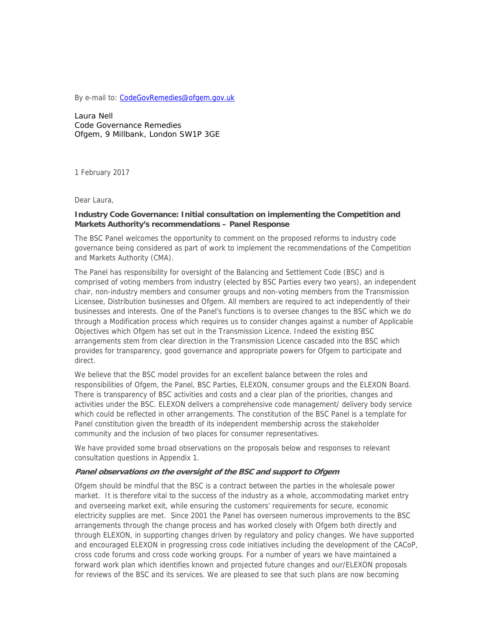By e-mail to: CodeGovRemedies@ofgem.gov.uk

Laura Nell Code Governance Remedies Ofgem, 9 Millbank, London SW1P 3GE

1 February 2017

Dear Laura,

### **Industry Code Governance: Initial consultation on implementing the Competition and Markets Authority's recommendations – Panel Response**

The BSC Panel welcomes the opportunity to comment on the proposed reforms to industry code governance being considered as part of work to implement the recommendations of the Competition and Markets Authority (CMA).

The Panel has responsibility for oversight of the Balancing and Settlement Code (BSC) and is comprised of voting members from industry (elected by BSC Parties every two years), an independent chair, non-industry members and consumer groups and non-voting members from the Transmission Licensee, Distribution businesses and Ofgem. All members are required to act independently of their businesses and interests. One of the Panel's functions is to oversee changes to the BSC which we do through a Modification process which requires us to consider changes against a number of Applicable Objectives which Ofgem has set out in the Transmission Licence. Indeed the existing BSC arrangements stem from clear direction in the Transmission Licence cascaded into the BSC which provides for transparency, good governance and appropriate powers for Ofgem to participate and direct.

We believe that the BSC model provides for an excellent balance between the roles and responsibilities of Ofgem, the Panel, BSC Parties, ELEXON, consumer groups and the ELEXON Board. There is transparency of BSC activities and costs and a clear plan of the priorities, changes and activities under the BSC. ELEXON delivers a comprehensive code management/ delivery body service which could be reflected in other arrangements. The constitution of the BSC Panel is a template for Panel constitution given the breadth of its independent membership across the stakeholder community and the inclusion of two places for consumer representatives.

We have provided some broad observations on the proposals below and responses to relevant consultation questions in Appendix 1.

#### **Panel observations on the oversight of the BSC and support to Ofgem**

Ofgem should be mindful that the BSC is a contract between the parties in the wholesale power market. It is therefore vital to the success of the industry as a whole, accommodating market entry and overseeing market exit, while ensuring the customers' requirements for secure, economic electricity supplies are met. Since 2001 the Panel has overseen numerous improvements to the BSC arrangements through the change process and has worked closely with Ofgem both directly and through ELEXON, in supporting changes driven by regulatory and policy changes. We have supported and encouraged ELEXON in progressing cross code initiatives including the development of the CACoP, cross code forums and cross code working groups. For a number of years we have maintained a forward work plan which identifies known and projected future changes and our/ELEXON proposals for reviews of the BSC and its services. We are pleased to see that such plans are now becoming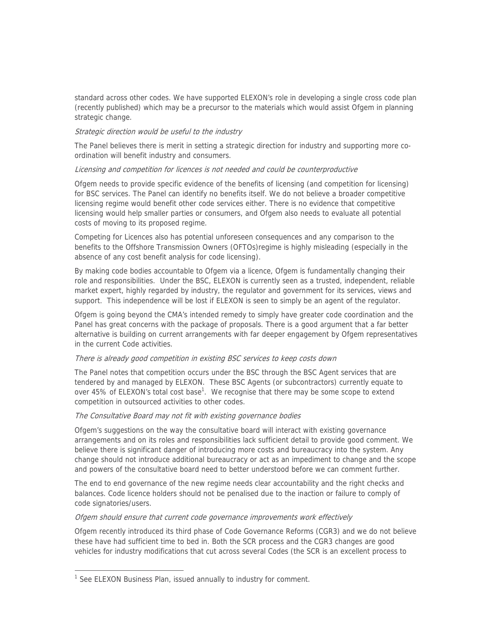standard across other codes. We have supported ELEXON's role in developing a single cross code plan (recently published) which may be a precursor to the materials which would assist Ofgem in planning strategic change.

## Strategic direction would be useful to the industry

The Panel believes there is merit in setting a strategic direction for industry and supporting more coordination will benefit industry and consumers.

#### Licensing and competition for licences is not needed and could be counterproductive

Ofgem needs to provide specific evidence of the benefits of licensing (and competition for licensing) for BSC services. The Panel can identify no benefits itself. We do not believe a broader competitive licensing regime would benefit other code services either. There is no evidence that competitive licensing would help smaller parties or consumers, and Ofgem also needs to evaluate all potential costs of moving to its proposed regime.

Competing for Licences also has potential unforeseen consequences and any comparison to the benefits to the Offshore Transmission Owners (OFTOs)regime is highly misleading (especially in the absence of any cost benefit analysis for code licensing).

By making code bodies accountable to Ofgem via a licence, Ofgem is fundamentally changing their role and responsibilities. Under the BSC, ELEXON is currently seen as a trusted, independent, reliable market expert, highly regarded by industry, the regulator and government for its services, views and support. This independence will be lost if ELEXON is seen to simply be an agent of the regulator.

Ofgem is going beyond the CMA's intended remedy to simply have greater code coordination and the Panel has great concerns with the package of proposals. There is a good argument that a far better alternative is building on current arrangements with far deeper engagement by Ofgem representatives in the current Code activities.

### There is already good competition in existing BSC services to keep costs down

The Panel notes that competition occurs under the BSC through the BSC Agent services that are tendered by and managed by ELEXON. These BSC Agents (or subcontractors) currently equate to over 45% of ELEXON's total cost base<sup>1</sup>. We recognise that there may be some scope to extend competition in outsourced activities to other codes.

### The Consultative Board may not fit with existing governance bodies

Ofgem's suggestions on the way the consultative board will interact with existing governance arrangements and on its roles and responsibilities lack sufficient detail to provide good comment. We believe there is significant danger of introducing more costs and bureaucracy into the system. Any change should not introduce additional bureaucracy or act as an impediment to change and the scope and powers of the consultative board need to better understood before we can comment further.

The end to end governance of the new regime needs clear accountability and the right checks and balances. Code licence holders should not be penalised due to the inaction or failure to comply of code signatories/users.

#### Ofgem should ensure that current code governance improvements work effectively

Ofgem recently introduced its third phase of Code Governance Reforms (CGR3) and we do not believe these have had sufficient time to bed in. Both the SCR process and the CGR3 changes are good vehicles for industry modifications that cut across several Codes (the SCR is an excellent process to

l,

<sup>&</sup>lt;sup>1</sup> See ELEXON Business Plan, issued annually to industry for comment.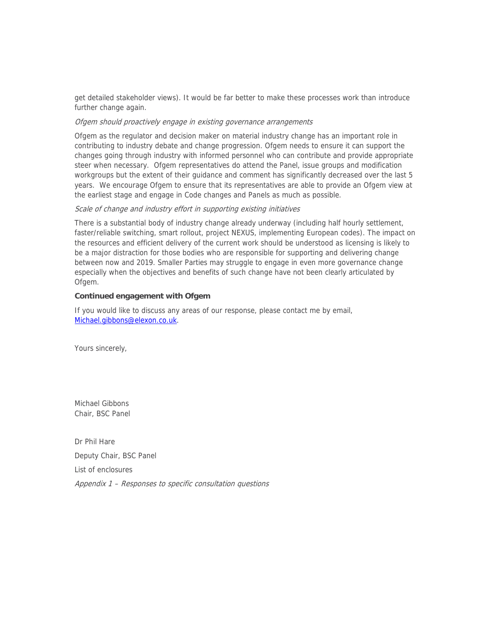get detailed stakeholder views). It would be far better to make these processes work than introduce further change again.

#### Ofgem should proactively engage in existing governance arrangements

Ofgem as the regulator and decision maker on material industry change has an important role in contributing to industry debate and change progression. Ofgem needs to ensure it can support the changes going through industry with informed personnel who can contribute and provide appropriate steer when necessary. Ofgem representatives do attend the Panel, issue groups and modification workgroups but the extent of their guidance and comment has significantly decreased over the last 5 years. We encourage Ofgem to ensure that its representatives are able to provide an Ofgem view at the earliest stage and engage in Code changes and Panels as much as possible.

#### Scale of change and industry effort in supporting existing initiatives

There is a substantial body of industry change already underway (including half hourly settlement, faster/reliable switching, smart rollout, project NEXUS, implementing European codes). The impact on the resources and efficient delivery of the current work should be understood as licensing is likely to be a major distraction for those bodies who are responsible for supporting and delivering change between now and 2019. Smaller Parties may struggle to engage in even more governance change especially when the objectives and benefits of such change have not been clearly articulated by Ofgem.

## **Continued engagement with Ofgem**

If you would like to discuss any areas of our response, please contact me by email, Michael.gibbons@elexon.co.uk.

Yours sincerely,

Michael Gibbons Chair, BSC Panel

Dr Phil Hare Deputy Chair, BSC Panel

List of enclosures

Appendix 1 – Responses to specific consultation questions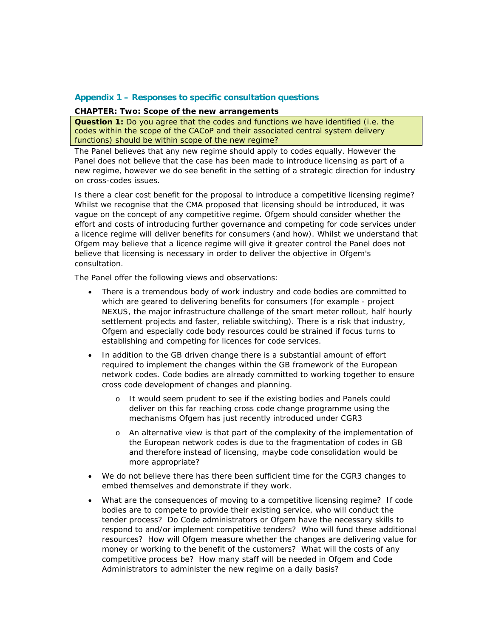## **Appendix 1 – Responses to specific consultation questions**

#### **CHAPTER: Two: Scope of the new arrangements**

**Question 1:** Do you agree that the codes and functions we have identified (i.e. the codes within the scope of the CACoP and their associated central system delivery functions) should be within scope of the new regime?

The Panel believes that any new regime should apply to codes equally. However the Panel does not believe that the case has been made to introduce licensing as part of a new regime, however we do see benefit in the setting of a strategic direction for industry on cross-codes issues.

Is there a clear cost benefit for the proposal to introduce a competitive licensing regime? Whilst we recognise that the CMA proposed that licensing should be introduced, it was vague on the concept of any competitive regime. Ofgem should consider whether the effort and costs of introducing further governance and competing for code services under a licence regime will deliver benefits for consumers (and how). Whilst we understand that Ofgem may believe that a licence regime will give it greater control the Panel does not believe that licensing is necessary in order to deliver the objective in Ofgem's consultation.

The Panel offer the following views and observations:

- There is a tremendous body of work industry and code bodies are committed to which are geared to delivering benefits for consumers (for example - project NEXUS, the major infrastructure challenge of the smart meter rollout, half hourly settlement projects and faster, reliable switching). There is a risk that industry, Ofgem and especially code body resources could be strained if focus turns to establishing and competing for licences for code services.
- In addition to the GB driven change there is a substantial amount of effort required to implement the changes within the GB framework of the European network codes. Code bodies are already committed to working together to ensure cross code development of changes and planning.
	- o It would seem prudent to see if the existing bodies and Panels could deliver on this far reaching cross code change programme using the mechanisms Ofgem has just recently introduced under CGR3
	- o An alternative view is that part of the complexity of the implementation of the European network codes is due to the fragmentation of codes in GB and therefore instead of licensing, maybe code consolidation would be more appropriate?
- We do not believe there has there been sufficient time for the CGR3 changes to embed themselves and demonstrate if they work.
- What are the consequences of moving to a competitive licensing regime? If code bodies are to compete to provide their existing service, who will conduct the tender process? Do Code administrators or Ofgem have the necessary skills to respond to and/or implement competitive tenders? Who will fund these additional resources? How will Ofgem measure whether the changes are delivering value for money or working to the benefit of the customers? What will the costs of any competitive process be? How many staff will be needed in Ofgem and Code Administrators to administer the new regime on a daily basis?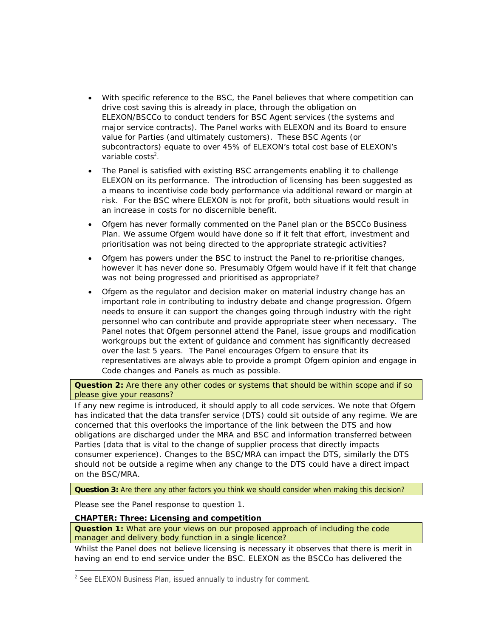- With specific reference to the BSC, the Panel believes that where competition can drive cost saving this is already in place, through the obligation on ELEXON/BSCCo to conduct tenders for BSC Agent services (the systems and major service contracts). The Panel works with ELEXON and its Board to ensure value for Parties (and ultimately customers). These BSC Agents (or subcontractors) equate to over 45% of ELEXON's total cost base of ELEXON's variable costs $2$ .
- The Panel is satisfied with existing BSC arrangements enabling it to challenge ELEXON on its performance. The introduction of licensing has been suggested as a means to incentivise code body performance via additional reward or margin at risk. For the BSC where ELEXON is not for profit, both situations would result in an increase in costs for no discernible benefit.
- Ofgem has never formally commented on the Panel plan or the BSCCo Business Plan. We assume Ofgem would have done so if it felt that effort, investment and prioritisation was not being directed to the appropriate strategic activities?
- Ofgem has powers under the BSC to instruct the Panel to re-prioritise changes, however it has never done so. Presumably Ofgem would have if it felt that change was not being progressed and prioritised as appropriate?
- Ofgem as the regulator and decision maker on material industry change has an important role in contributing to industry debate and change progression. Ofgem needs to ensure it can support the changes going through industry with the right personnel who can contribute and provide appropriate steer when necessary. The Panel notes that Ofgem personnel attend the Panel, issue groups and modification workgroups but the extent of guidance and comment has significantly decreased over the last 5 years. The Panel encourages Ofgem to ensure that its representatives are always able to provide a prompt Ofgem opinion and engage in Code changes and Panels as much as possible.

**Question 2:** Are there any other codes or systems that should be within scope and if so please give your reasons?

If any new regime is introduced, it should apply to all code services. We note that Ofgem has indicated that the data transfer service (DTS) could sit outside of any regime. We are concerned that this overlooks the importance of the link between the DTS and how obligations are discharged under the MRA and BSC and information transferred between Parties (data that is vital to the change of supplier process that directly impacts consumer experience). Changes to the BSC/MRA can impact the DTS, similarly the DTS should not be outside a regime when any change to the DTS could have a direct impact on the BSC/MRA.

**Question 3:** Are there any other factors you think we should consider when making this decision?

Please see the Panel response to question 1.

l,

# **CHAPTER: Three: Licensing and competition**

**Question 1:** What are your views on our proposed approach of including the code manager and delivery body function in a single licence?

Whilst the Panel does not believe licensing is necessary it observes that there is merit in having an end to end service under the BSC. ELEXON as the BSCCo has delivered the

<sup>&</sup>lt;sup>2</sup> See ELEXON Business Plan, issued annually to industry for comment.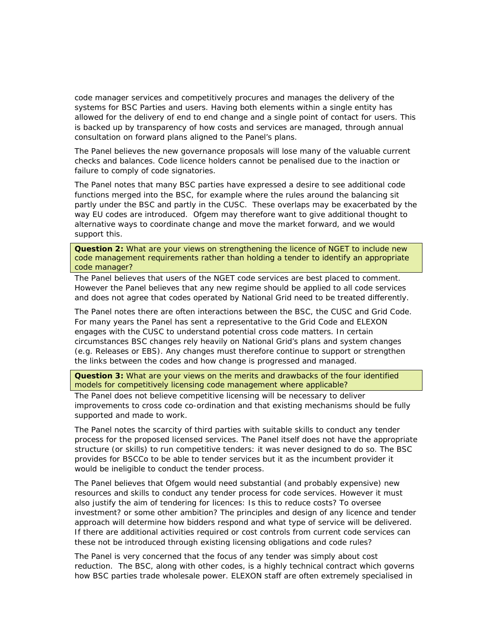code manager services and competitively procures and manages the delivery of the systems for BSC Parties and users. Having both elements within a single entity has allowed for the delivery of end to end change and a single point of contact for users. This is backed up by transparency of how costs and services are managed, through annual consultation on forward plans aligned to the Panel's plans.

The Panel believes the new governance proposals will lose many of the valuable current checks and balances. Code licence holders cannot be penalised due to the inaction or failure to comply of code signatories.

The Panel notes that many BSC parties have expressed a desire to see additional code functions merged into the BSC, for example where the rules around the balancing sit partly under the BSC and partly in the CUSC. These overlaps may be exacerbated by the way EU codes are introduced. Ofgem may therefore want to give additional thought to alternative ways to coordinate change and move the market forward, and we would support this.

**Question 2:** What are your views on strengthening the licence of NGET to include new code management requirements rather than holding a tender to identify an appropriate code manager?

The Panel believes that users of the NGET code services are best placed to comment. However the Panel believes that any new regime should be applied to all code services and does not agree that codes operated by National Grid need to be treated differently.

The Panel notes there are often interactions between the BSC, the CUSC and Grid Code. For many years the Panel has sent a representative to the Grid Code and ELEXON engages with the CUSC to understand potential cross code matters. In certain circumstances BSC changes rely heavily on National Grid's plans and system changes (e.g. Releases or EBS). Any changes must therefore continue to support or strengthen the links between the codes and how change is progressed and managed.

**Question 3:** What are your views on the merits and drawbacks of the four identified models for competitively licensing code management where applicable?

The Panel does not believe competitive licensing will be necessary to deliver improvements to cross code co-ordination and that existing mechanisms should be fully supported and made to work.

The Panel notes the scarcity of third parties with suitable skills to conduct any tender process for the proposed licensed services. The Panel itself does not have the appropriate structure (or skills) to run competitive tenders: it was never designed to do so. The BSC provides for BSCCo to be able to tender services but it as the incumbent provider it would be ineligible to conduct the tender process.

The Panel believes that Ofgem would need substantial (and probably expensive) new resources and skills to conduct any tender process for code services. However it must also justify the aim of tendering for licences: Is this to reduce costs? To oversee investment? or some other ambition? The principles and design of any licence and tender approach will determine how bidders respond and what type of service will be delivered. If there are additional activities required or cost controls from current code services can these not be introduced through existing licensing obligations and code rules?

The Panel is very concerned that the focus of any tender was simply about cost reduction. The BSC, along with other codes, is a highly technical contract which governs how BSC parties trade wholesale power. ELEXON staff are often extremely specialised in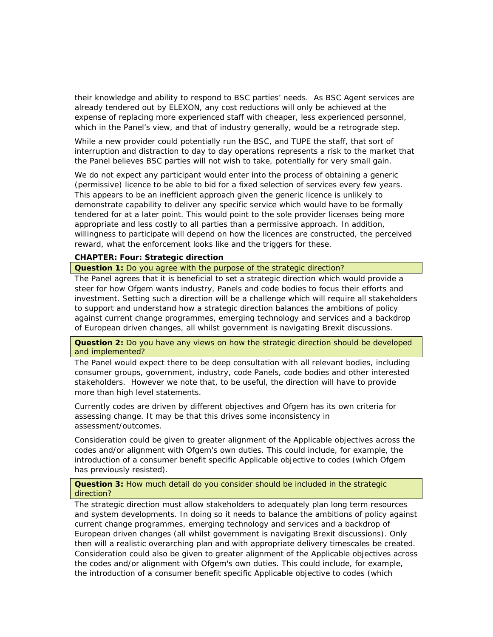their knowledge and ability to respond to BSC parties' needs. As BSC Agent services are already tendered out by ELEXON, any cost reductions will only be achieved at the expense of replacing more experienced staff with cheaper, less experienced personnel, which in the Panel's view, and that of industry generally, would be a retrograde step.

While a new provider could potentially run the BSC, and TUPE the staff, that sort of interruption and distraction to day to day operations represents a risk to the market that the Panel believes BSC parties will not wish to take, potentially for very small gain.

We do not expect any participant would enter into the process of obtaining a generic (permissive) licence to be able to bid for a fixed selection of services every few years. This appears to be an inefficient approach given the generic licence is unlikely to demonstrate capability to deliver any specific service which would have to be formally tendered for at a later point. This would point to the sole provider licenses being more appropriate and less costly to all parties than a permissive approach. In addition, willingness to participate will depend on how the licences are constructed, the perceived reward, what the enforcement looks like and the triggers for these.

## **CHAPTER: Four: Strategic direction**

**Question 1:** Do you agree with the purpose of the strategic direction?

The Panel agrees that it is beneficial to set a strategic direction which would provide a steer for how Ofgem wants industry, Panels and code bodies to focus their efforts and investment. Setting such a direction will be a challenge which will require all stakeholders to support and understand how a strategic direction balances the ambitions of policy against current change programmes, emerging technology and services and a backdrop of European driven changes, all whilst government is navigating Brexit discussions.

**Question 2:** Do you have any views on how the strategic direction should be developed and implemented?

The Panel would expect there to be deep consultation with all relevant bodies, including consumer groups, government, industry, code Panels, code bodies and other interested stakeholders. However we note that, to be useful, the direction will have to provide more than high level statements.

Currently codes are driven by different objectives and Ofgem has its own criteria for assessing change. It may be that this drives some inconsistency in assessment/outcomes.

Consideration could be given to greater alignment of the Applicable objectives across the codes and/or alignment with Ofgem's own duties. This could include, for example, the introduction of a consumer benefit specific Applicable objective to codes (which Ofgem has previously resisted).

**Question 3:** How much detail do you consider should be included in the strategic direction?

The strategic direction must allow stakeholders to adequately plan long term resources and system developments. In doing so it needs to balance the ambitions of policy against current change programmes, emerging technology and services and a backdrop of European driven changes (all whilst government is navigating Brexit discussions). Only then will a realistic overarching plan and with appropriate delivery timescales be created. Consideration could also be given to greater alignment of the Applicable objectives across the codes and/or alignment with Ofgem's own duties. This could include, for example, the introduction of a consumer benefit specific Applicable objective to codes (which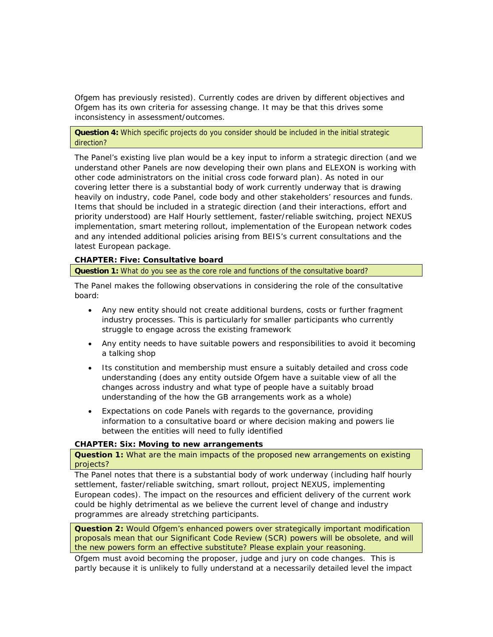Ofgem has previously resisted). Currently codes are driven by different objectives and Ofgem has its own criteria for assessing change. It may be that this drives some inconsistency in assessment/outcomes.

### **Question 4:** Which specific projects do you consider should be included in the initial strategic direction?

The Panel's existing live plan would be a key input to inform a strategic direction (and we understand other Panels are now developing their own plans and ELEXON is working with other code administrators on the initial cross code forward plan). As noted in our covering letter there is a substantial body of work currently underway that is drawing heavily on industry, code Panel, code body and other stakeholders' resources and funds. Items that should be included in a strategic direction (and their interactions, effort and priority understood) are Half Hourly settlement, faster/reliable switching, project NEXUS implementation, smart metering rollout, implementation of the European network codes and any intended additional policies arising from BEIS's current consultations and the latest European package.

# **CHAPTER: Five: Consultative board**

### **Question 1:** What do you see as the core role and functions of the consultative board?

The Panel makes the following observations in considering the role of the consultative board:

- Any new entity should not create additional burdens, costs or further fragment industry processes. This is particularly for smaller participants who currently struggle to engage across the existing framework
- Any entity needs to have suitable powers and responsibilities to avoid it becoming a talking shop
- Its constitution and membership must ensure a suitably detailed and cross code understanding (does any entity outside Ofgem have a suitable view of all the changes across industry and what type of people have a suitably broad understanding of the how the GB arrangements work as a whole)
- Expectations on code Panels with regards to the governance, providing information to a consultative board or where decision making and powers lie between the entities will need to fully identified

## **CHAPTER: Six: Moving to new arrangements**

**Question 1:** What are the main impacts of the proposed new arrangements on existing projects?

The Panel notes that there is a substantial body of work underway (including half hourly settlement, faster/reliable switching, smart rollout, project NEXUS, implementing European codes). The impact on the resources and efficient delivery of the current work could be highly detrimental as we believe the current level of change and industry programmes are already stretching participants.

**Question 2:** Would Ofgem's enhanced powers over strategically important modification proposals mean that our Significant Code Review (SCR) powers will be obsolete, and will the new powers form an effective substitute? Please explain your reasoning.

Ofgem must avoid becoming the proposer, judge and jury on code changes. This is partly because it is unlikely to fully understand at a necessarily detailed level the impact